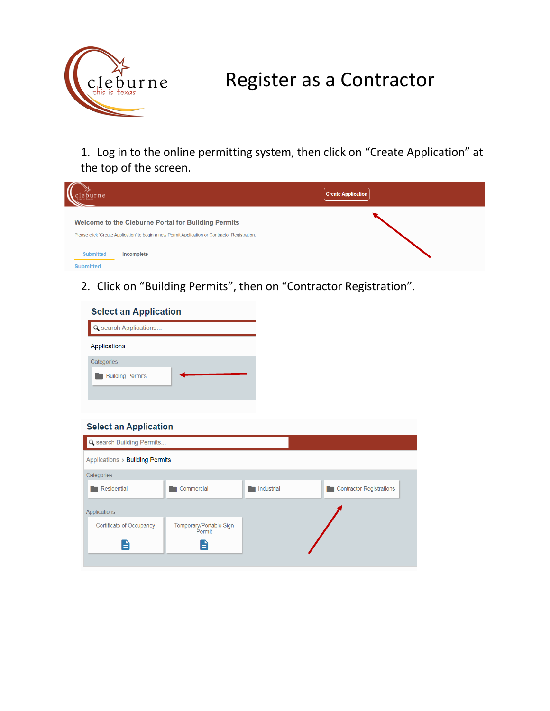

## Register as a Contractor

1. Log in to the online permitting system, then click on "Create Application" at the top of the screen.



2. Click on "Building Permits", then on "Contractor Registration".

| <b>Select an Application</b> |  |
|------------------------------|--|
| Q search Applications        |  |
| Applications                 |  |
| Categories                   |  |
| <b>Building Permits</b>      |  |

## **Select an Application**

| Q search Building Permits       |                                   |            |                                 |
|---------------------------------|-----------------------------------|------------|---------------------------------|
| Applications > Building Permits |                                   |            |                                 |
| Categories                      |                                   |            |                                 |
| Residential                     | Commercial                        | Industrial | <b>Contractor Registrations</b> |
| <b>Applications</b>             |                                   |            |                                 |
| Certificate of Occupancy        | Temporary/Portable Sign<br>Permit |            |                                 |
| Ξ                               | E                                 |            |                                 |
|                                 |                                   |            |                                 |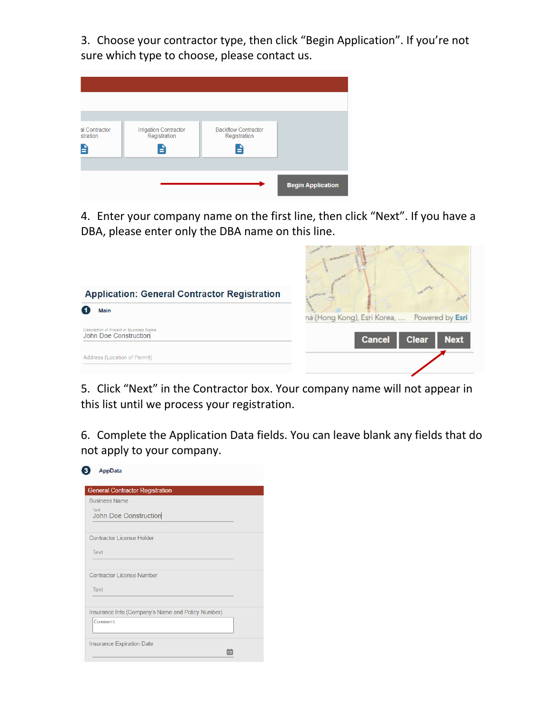3. Choose your contractor type, then click "Begin Application". If you're not sure which type to choose, please contact us.

| al Contractor<br>stration<br>É | <b>Irrigation Contractor</b><br>Registration<br>Ĥ | <b>Backflow Contractor</b><br>Registration<br>E |                          |
|--------------------------------|---------------------------------------------------|-------------------------------------------------|--------------------------|
|                                |                                                   |                                                 | <b>Begin Application</b> |

4. Enter your company name on the first line, then click "Next". If you have a DBA, please enter only the DBA name on this line.



5. Click "Next" in the Contractor box. Your company name will not appear in this list until we process your registration.

6. Complete the Application Data fields. You can leave blank any fields that do not apply to your company.

| AppData                                           |  |
|---------------------------------------------------|--|
| <b>General Contractor Registration</b>            |  |
| <b>Business Name</b>                              |  |
| Text<br><b>John Doe Construction</b>              |  |
| <b>Contractor License Holder</b>                  |  |
| Text                                              |  |
| Contractor License Number                         |  |
| Text                                              |  |
| Insurance Info (Company's Name and Policy Number) |  |
| Comment                                           |  |
| <b>Insurance Expiration Date</b>                  |  |
|                                                   |  |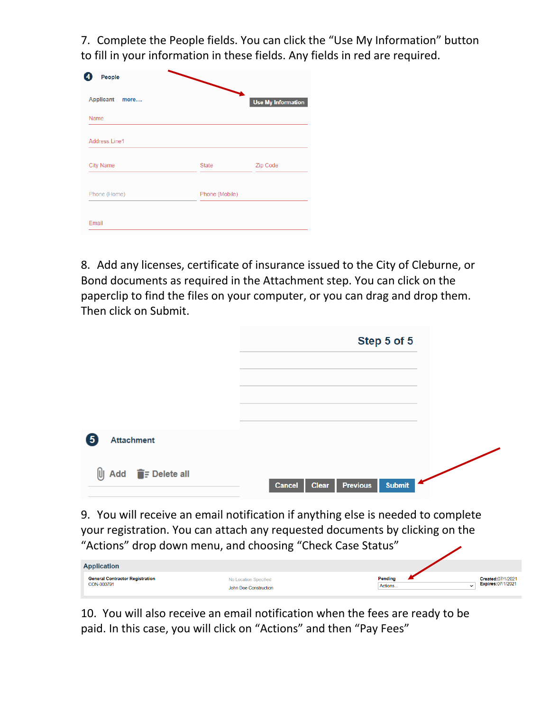7. Complete the People fields. You can click the "Use My Information" button to fill in your information in these fields. Any fields in red are required.

| <b>Applicant</b><br>more |                | <b>Use My Information</b> |
|--------------------------|----------------|---------------------------|
| <b>Name</b>              |                |                           |
| <b>Address Line1</b>     |                |                           |
| <b>City Name</b>         | <b>State</b>   | Zip Code                  |
| Phone (Home)             | Phone (Mobile) |                           |

8. Add any licenses, certificate of insurance issued to the City of Cleburne, or Bond documents as required in the Attachment step. You can click on the paperclip to find the files on your computer, or you can drag and drop them. Then click on Submit.

|                                                                                                       | Step 5 of 5                                         |
|-------------------------------------------------------------------------------------------------------|-----------------------------------------------------|
|                                                                                                       |                                                     |
|                                                                                                       |                                                     |
|                                                                                                       |                                                     |
| 6<br><b>Attachment</b>                                                                                |                                                     |
| $\begin{bmatrix} 0 \end{bmatrix}$ Add $\begin{bmatrix} \bullet \\ \bullet \end{bmatrix}$ = Delete all | <b>Submit</b><br><b>Previous</b><br>Clear<br>Cancel |
|                                                                                                       |                                                     |

9. You will receive an email notification if anything else is needed to complete your registration. You can attach any requested documents by clicking on the "Actions" drop down menu, and choosing "Check Case Status"

| <b>Application</b>                                   |                                                |                                   |                                               |
|------------------------------------------------------|------------------------------------------------|-----------------------------------|-----------------------------------------------|
| <b>General Contractor Registration</b><br>CON-000791 | No Location Specified<br>John Doe Construction | Pending<br>Actions<br>$\check{ }$ | Created:07/1/2021<br><b>Expires:07/1/2021</b> |

10. You will also receive an email notification when the fees are ready to be paid. In this case, you will click on "Actions" and then "Pay Fees"